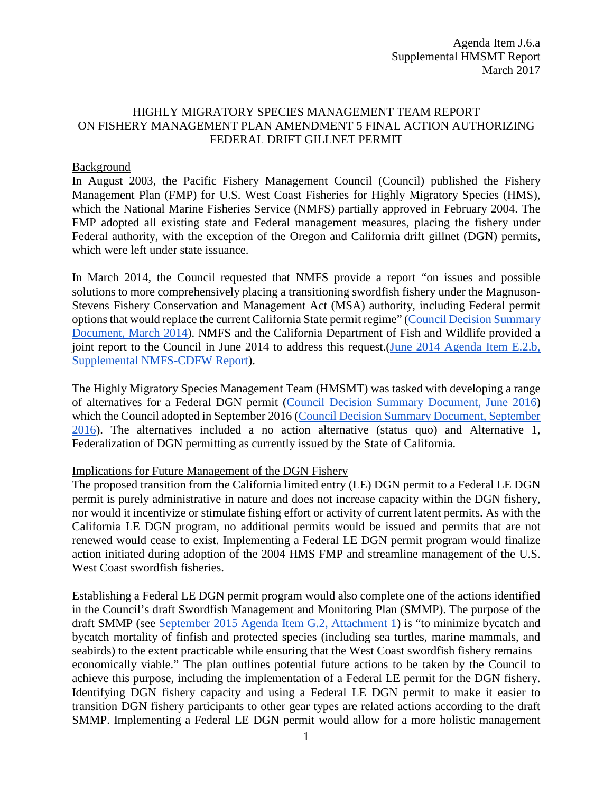# HIGHLY MIGRATORY SPECIES MANAGEMENT TEAM REPORT ON FISHERY MANAGEMENT PLAN AMENDMENT 5 FINAL ACTION AUTHORIZING FEDERAL DRIFT GILLNET PERMIT

### Background

In August 2003, the Pacific Fishery Management Council (Council) published the Fishery Management Plan (FMP) for U.S. West Coast Fisheries for Highly Migratory Species (HMS), which the National Marine Fisheries Service (NMFS) partially approved in February 2004. The FMP adopted all existing state and Federal management measures, placing the fishery under Federal authority, with the exception of the Oregon and California drift gillnet (DGN) permits, which were left under state issuance.

In March 2014, the Council requested that NMFS provide a report "on issues and possible solutions to more comprehensively placing a transitioning swordfish fishery under the Magnuson-Stevens Fishery Conservation and Management Act (MSA) authority, including Federal permit options that would replace the current California State permit regime" [\(Council Decision Summary](http://www.pcouncil.org/wp-content/uploads/0314decisions.pdf)  [Document, March 2014\)](http://www.pcouncil.org/wp-content/uploads/0314decisions.pdf). NMFS and the California Department of Fish and Wildlife provided a joint report to the Council in June 2014 to address this request.(June 2014 Agenda Item E.2.b, [Supplemental NMFS-CDFW Report\)](http://www.pcouncil.org/wp-content/uploads/E2b_SUP_NMFS-CDFW_Rpt_JUNE2014BB.pdf).

The Highly Migratory Species Management Team (HMSMT) was tasked with developing a range of alternatives for a Federal DGN permit [\(Council Decision Summary Document, June 2016\)](http://www.pcouncil.org/wp-content/uploads/2016/07/0616decisions.pdf) which the Council adopted in September 2016 [\(Council Decision Summary Document, September](http://www.pcouncil.org/wp-content/uploads/2016/09/0916decisions.pdf)  [2016\)](http://www.pcouncil.org/wp-content/uploads/2016/09/0916decisions.pdf). The alternatives included a no action alternative (status quo) and Alternative 1, Federalization of DGN permitting as currently issued by the State of California.

## Implications for Future Management of the DGN Fishery

The proposed transition from the California limited entry (LE) DGN permit to a Federal LE DGN permit is purely administrative in nature and does not increase capacity within the DGN fishery, nor would it incentivize or stimulate fishing effort or activity of current latent permits. As with the California LE DGN program, no additional permits would be issued and permits that are not renewed would cease to exist. Implementing a Federal LE DGN permit program would finalize action initiated during adoption of the 2004 HMS FMP and streamline management of the U.S. West Coast swordfish fisheries.

Establishing a Federal LE DGN permit program would also complete one of the actions identified in the Council's draft Swordfish Management and Monitoring Plan (SMMP). The purpose of the draft SMMP (see [September 2015 Agenda Item G.2, Attachment 1\)](http://www.pcouncil.org/wp-content/uploads/2015/08/G2_Att1_SwordfishPlan1509_SEPT2015BB.pdf) is "to minimize bycatch and bycatch mortality of finfish and protected species (including sea turtles, marine mammals, and seabirds) to the extent practicable while ensuring that the West Coast swordfish fishery remains economically viable." The plan outlines potential future actions to be taken by the Council to achieve this purpose, including the implementation of a Federal LE permit for the DGN fishery. Identifying DGN fishery capacity and using a Federal LE DGN permit to make it easier to transition DGN fishery participants to other gear types are related actions according to the draft SMMP. Implementing a Federal LE DGN permit would allow for a more holistic management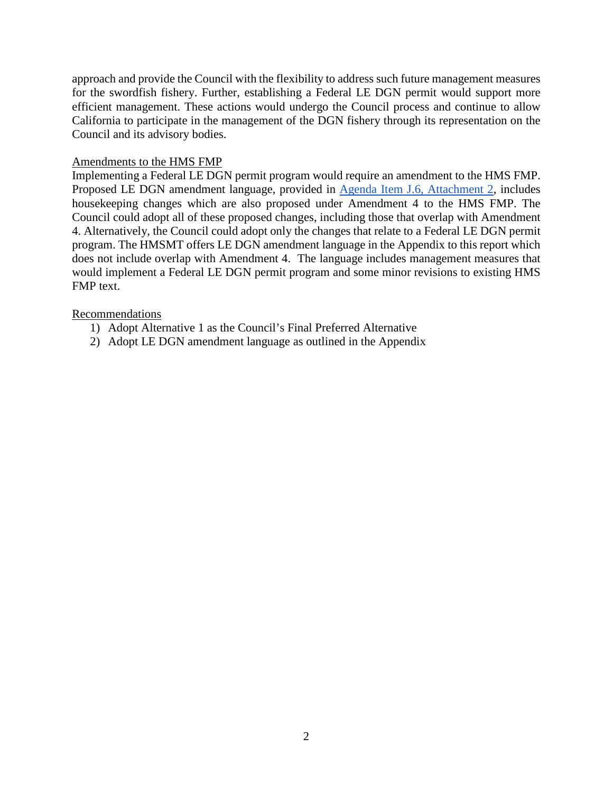approach and provide the Council with the flexibility to address such future management measures for the swordfish fishery. Further, establishing a Federal LE DGN permit would support more efficient management. These actions would undergo the Council process and continue to allow California to participate in the management of the DGN fishery through its representation on the Council and its advisory bodies.

### Amendments to the HMS FMP

Implementing a Federal LE DGN permit program would require an amendment to the HMS FMP. Proposed LE DGN amendment language, provided in [Agenda Item J.6, Attachment 2,](http://www.pcouncil.org/wp-content/uploads/2017/02/J6_Att2_Amendment_5_Final_2-07-17_Mar2017BB.pdf) includes housekeeping changes which are also proposed under Amendment 4 to the HMS FMP. The Council could adopt all of these proposed changes, including those that overlap with Amendment 4. Alternatively, the Council could adopt only the changes that relate to a Federal LE DGN permit program. The HMSMT offers LE DGN amendment language in the Appendix to this report which does not include overlap with Amendment 4. The language includes management measures that would implement a Federal LE DGN permit program and some minor revisions to existing HMS FMP text.

### Recommendations

- 1) Adopt Alternative 1 as the Council's Final Preferred Alternative
- 2) Adopt LE DGN amendment language as outlined in the Appendix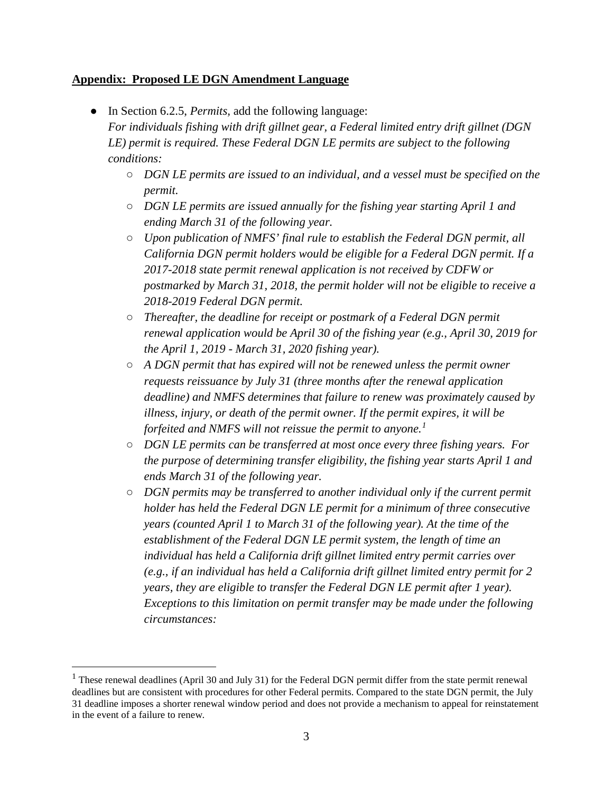# **Appendix: Proposed LE DGN Amendment Language**

- In Section 6.2.5, *Permits,* add the following language: *For individuals fishing with drift gillnet gear, a Federal limited entry drift gillnet (DGN LE) permit is required. These Federal DGN LE permits are subject to the following conditions:*
	- *DGN LE permits are issued to an individual, and a vessel must be specified on the permit.*
	- *DGN LE permits are issued annually for the fishing year starting April 1 and ending March 31 of the following year.*
	- *Upon publication of NMFS' final rule to establish the Federal DGN permit, all California DGN permit holders would be eligible for a Federal DGN permit. If a 2017-2018 state permit renewal application is not received by CDFW or postmarked by March 31, 2018, the permit holder will not be eligible to receive a 2018-2019 Federal DGN permit.*
	- *Thereafter, the deadline for receipt or postmark of a Federal DGN permit renewal application would be April 30 of the fishing year (e.g., April 30, 2019 for the April 1, 2019 - March 31, 2020 fishing year).*
	- *A DGN permit that has expired will not be renewed unless the permit owner requests reissuance by July 31 (three months after the renewal application deadline) and NMFS determines that failure to renew was proximately caused by illness, injury, or death of the permit owner. If the permit expires, it will be forfeited and NMFS will not reissue the permit to anyone.[1](#page-2-0)*
	- *DGN LE permits can be transferred at most once every three fishing years. For the purpose of determining transfer eligibility, the fishing year starts April 1 and ends March 31 of the following year.*
	- *DGN permits may be transferred to another individual only if the current permit holder has held the Federal DGN LE permit for a minimum of three consecutive years (counted April 1 to March 31 of the following year). At the time of the establishment of the Federal DGN LE permit system, the length of time an individual has held a California drift gillnet limited entry permit carries over (e.g., if an individual has held a California drift gillnet limited entry permit for 2 years, they are eligible to transfer the Federal DGN LE permit after 1 year). Exceptions to this limitation on permit transfer may be made under the following circumstances:*

<span id="page-2-0"></span><sup>&</sup>lt;sup>1</sup> These renewal deadlines (April 30 and July 31) for the Federal DGN permit differ from the state permit renewal deadlines but are consistent with procedures for other Federal permits. Compared to the state DGN permit, the July 31 deadline imposes a shorter renewal window period and does not provide a mechanism to appeal for reinstatement in the event of a failure to renew.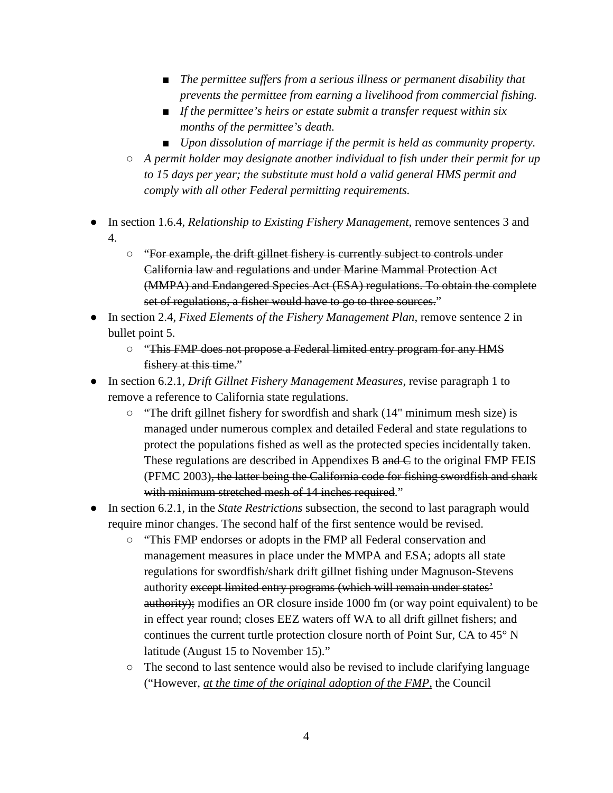- The permittee suffers from a serious illness or permanent disability that *prevents the permittee from earning a livelihood from commercial fishing.*
- *If the permittee's heirs or estate submit a transfer request within six months of the permittee's death.*
- *Upon dissolution of marriage if the permit is held as community property.*
- *A permit holder may designate another individual to fish under their permit for up to 15 days per year; the substitute must hold a valid general HMS permit and comply with all other Federal permitting requirements.*
- In section 1.6.4, *Relationship to Existing Fishery Management*, remove sentences 3 and 4.
	- "For example, the drift gillnet fishery is currently subject to controls under California law and regulations and under Marine Mammal Protection Act (MMPA) and Endangered Species Act (ESA) regulations. To obtain the complete set of regulations, a fisher would have to go to three sources."
- In section 2.4, *Fixed Elements of the Fishery Management Plan*, remove sentence 2 in bullet point 5.
	- "This FMP does not propose a Federal limited entry program for any HMS fishery at this time."
- In section 6.2.1, *Drift Gillnet Fishery Management Measures*, revise paragraph 1 to remove a reference to California state regulations.
	- "The drift gillnet fishery for swordfish and shark (14" minimum mesh size) is managed under numerous complex and detailed Federal and state regulations to protect the populations fished as well as the protected species incidentally taken. These regulations are described in Appendixes B and C to the original FMP FEIS (PFMC 2003), the latter being the California code for fishing swordfish and shark with minimum stretched mesh of 14 inches required."
- In section 6.2.1, in the *State Restrictions* subsection, the second to last paragraph would require minor changes. The second half of the first sentence would be revised.
	- "This FMP endorses or adopts in the FMP all Federal conservation and management measures in place under the MMPA and ESA; adopts all state regulations for swordfish/shark drift gillnet fishing under Magnuson-Stevens authority except limited entry programs (which will remain under states' authority); modifies an OR closure inside 1000 fm (or way point equivalent) to be in effect year round; closes EEZ waters off WA to all drift gillnet fishers; and continues the current turtle protection closure north of Point Sur, CA to 45° N latitude (August 15 to November 15)."
	- The second to last sentence would also be revised to include clarifying language ("However, *at the time of the original adoption of the FMP,* the Council